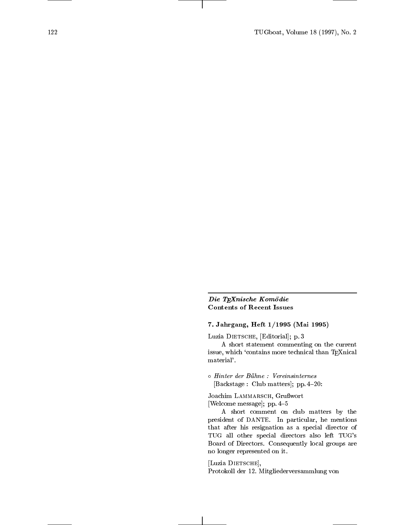## Die TEXnische Komödie Contents of Recent Issues

# 7. Jahrgang, Heft 1/1995 (Mai 1995)

Luzia DIETSCHE, [Editorial]; p. 3

A short statement commenting on the current issue, which `contains more technical than TEXnical material'.

 Hinter der Buhne : Vereinsinternes [Backstage : Club matters]; pp. 4-20:

Joachim LAMMARSCH, Grußwort [Welcome message]; pp.  $4-5$ 

A short comment on club matters by the president of DANTE. In particular, he mentions that after his resignation as a special director of TUG all other special directors also left TUG's Board of Directors. Consequently local groups are no longer represented on it.

[Luzia DIETSCHE], Protokoll der 12. Mitgliederversammlung von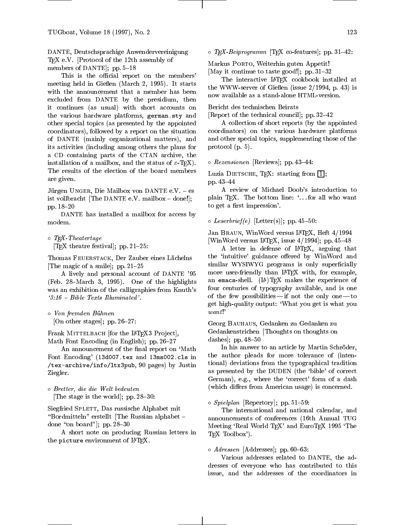DANTE, Deutschsprachige Anwendervereinigung T<sub>F</sub>X e.V. [Protocol of the 12th assembly of members of DANTE, pp.  $5-18$ 

This is the official report on the members' meeting held in Gießen (March 2, 1995). It starts with the announcement that a member has been excluded from DANTE by the presidium, then it continues (as usual) with short accounts on the various hardware platforms, german.sty and other special topics (as presented by the appointed coordinators), followed by a report on the situation of DANTE (mainly organizational matters), and its activities (including among others the plans for a CD containing parts of the CTAN archive, the installation of a mailbox, and the status of  $\varepsilon$ -TEX). The results of the election of the board members are given.

Jürgen UNGER, Die Mailbox von DANTE e.V. - es ist vollbracht [The DANTE e.V. mailbox  $-$  done!]; pp. 18-20

DANTE has installed a mailbox for access by modem.

 $\circ$  IEA-Ineatertage

[T<sub>F</sub>X theatre festival]; pp.  $21{-}25$ :

Thomas FEUERSTACK, Der Zauber eines Lächelns [The magic of a smile]; pp.  $21{-}25$ 

A lively and personal account of DANTE '95 (Feb. 28–March 3, 1995). One of the highlights was an exhibition of the calligraphies from Knuth's  $3:16$  - Bible Texts Illuminated'.

 Von fremden Buhnen [On other stages]; pp. 26–27:

Frank MITTELBACH [for the LAT<sub>E</sub>X3 Project], Math Font Encoding (in English);  $pp. 26-27$ 

An announcement of the final report on 'Math Font Encoding' (13d007.tex and 13ms002.cls in /tex-archive/info/ltx3pub, 90 pages) by Justin Ziegler.

 Bretter, die die Welt bedeuten [The stage is the world]; pp.  $28-30$ :

Siegfried Splett, Das russische Alphabet mit "Bordmitteln" erstellt [The Russian alphabet  $=$ done "on board"]; pp.  $28{-}30$ 

A short note on producing Russian letters in the picture environment of LATEX.

 $\circ$  1Ex-Beiprogramm [TEX co-features]; pp. 31–42:

Markus Porto, Weiterhin guten Appetit! [May it continue to taste good!]; pp. 31-32

The interactive LATFX cookbook installed at the WWW-server of Gießen (issue  $2/1994$ , p. 43) is now available as a stand-alone HTML-version.

Bericht des technischen Beirats

[Report of the technical council]; pp.  $32-42$ 

A collection of short reports (by the appointed coordinators) on the various hardware platforms and other special topics, supplementing those of the protocol (p. 5).

 $\circ$  *Rezensionen* [Reviews]; pp. 45–44:

Luzia DIETSCHE, TEX: starting from  $\boxed{1}$ ; pp. 43-44

A review of Michael Doob's introduction to plain TFX. The bottom line: '...for all who want to get a first impression'.

 $\circ$  Leserbrief(e) [Letter(s)]; pp. 45=50:

Jan BRAUN, WinWord versus LATFX, Heft 4/1994 [WinWord versus IAT<sub>E</sub>X, issue  $4/1994$ ]; pp. 45-48

A letter in defense of LATEX, arguing that the 'intuitive' guidance offered by WinWord and similar WYSIWYG programs is only superficially more user-friendly than LATEX with, for example, an emacs-shell.  $(IA)$ TEX makes the experience of four centuries of typography available, and is one of the few possibilities—if not the only one  $-t_0$ get high-quality output: `What you get is what you want!'

Georg Bauhaus, Gedanken zu Gedanken zu Gedankenstrichen [Thoughts on thoughts on dashes];  $pp. 48-50$ 

In his answer to an article by Martin Schröder, the author pleads for more tolerance of (intentional) deviations from the typographical tradition as presented by the DUDEN (the `bible' of correct German), e.g., where the `correct' form of a dash (which differs from American usage) is concerned.

o *Spielplan* [Repertory]; pp. 51—59:

The international and national calendar, and announcements of conferences (16th Annual TUG Meeting 'Real World TEX' and EuroTEX 1995 'The TEX Toolbox').

o *Aaressen* [Addresses]; pp. 60–63:

Various addresses related to DANTE, the addresses of everyone who has contributed to this issue, and the addresses of the coordinators in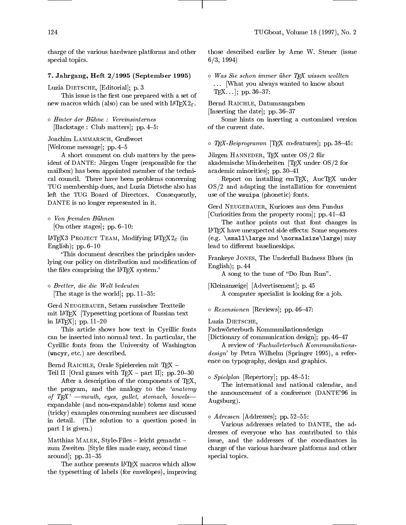charge of the various hardware platforms and other special topics.

## 7. Jahrgang, Heft 2/1995 (September 1995)

Luzia DIETSCHE, [Editorial]; p. 3

This issue is the first one prepared with a set of new macros which (also) can be used with  $\text{LATEX2}_{\epsilon}$ .

 $\circ$  Hinter der Bunne : Vereinsinternes [Backstage : Club matters]; pp. 4-5:

Joachim LAMMARSCH, Grußwort [Welcome message]; pp. 4-5

A short comment on club matters by the president of DANTE: Jürgen Unger (responsible for the mailbox) has been appointed member of the technical council. There have been problems concerning TUG membership dues, and Luzia Dietsche also has left the TUG Board of Directors. Consequently, DANTE is no longer represented in it.

 Von fremden Buhnen [On other stages]; pp.  $6-10$ :

LAT<sub>F</sub>X3 PROJECT TEAM, Modifying LAT<sub>F</sub>X2<sub> $\varepsilon$ </sub> (in English);  $pp. 6-10$ 

`This document describes the principles underlying our policy on distribution and modication of the files comprising the IATEX system.'

 Bretter, die die Welt bedeuten The stage is the world; pp.  $11{-}35$ :

Gerd Neugebauer, Setzen russischer Textteile mit LATEX [Typesetting portions of Russian text in LAT<sub>E</sub>X<sup> $\vert$ </sup>; pp. 11–20

This article shows how text in Cyrillic fonts can be inserted into normal text. In particular, the Cyrillic fonts from the University of Washington (wncyr, etc.) are described.

Bernd RAICHLE, Orale Spielereien mit TFX -

Teil II [Oral games with  $TEX -$  part II]; pp. 20-30 After a description of the components of TFX,

the program, and the analogy to the 'anatomy of  $T_F X'$  -mouth, eyes, gullet, stomach, bowelsexpandable (and non-expandable) tokens and some (tricky) examples concerning numbers are discussed in detail. (The solution to a question posed in part I is given.)

Matthias MALEK, Style-Files  $-$  leicht gemacht  $$ zum Zweiten [Style files made easy, second time around];  $pp. 31-35$ 

The author presents LATEX macros which allow the typesetting of labels (for envelopes), improving those described earlier by Arne W. Steuer (issue 6/3, 1994)

 $\circ$  Was Sie schon immer uber IFA wissen wollten ::: [What you always wanted to know about  $Tr[X...]$ ; pp. 36-37:

Bernd RAICHLE, Datumsangaben [Inserting the date]; pp.  $36-37$ 

Some hints on inserting a customized version of the current date.

 $\circ$  1EA-Beiprogramm [TEA co-features]; pp. 38–45:

Jürgen HANNEDER, TEX unter OS/2 für akademische Minderheiten [TEX under OS/2 for academic minorities]; pp. 30-41

Report on installing emTEX, AucTEX under OS/2 and adapting the installation for convenient use of the wsuipa (phonetic) fonts.

Gerd Neugebauer, Kurioses aus dem Fundus [Curiosities from the property room]; pp.  $41-43$ 

The author points out that font changes in  $LAT$ FX have unexpected side effects: Some sequences (e.g. \small\large and \normalsize\large) may lead to different baselineskips.

Frankeye Jones, The Underfull Badness Blues (in English); p. 44

A song to the tune of "Do Run Run".

[Kleinanzeige] [Advertisement]; p. 45 A computer specialist is looking for a job.

 $\circ$  *Rezensionen* [Reviews]; pp. 40–47:

Luzia DIETSCHE,

Fachworterbuch Kommunikationsdesign

[Dictionary of communication design]; pp.  $46{-}47$ 

A review of 'Fachwörterbuch Kommunikationsdesign' by Petra Wilhelm (Springer 1995), a reference on typography, design and graphics.

o *Spielplan* [Repertory]; pp. 48-51:

The international and national calendar, and the announcement of a conference (DANTE'96 in Augsburg).

o *Aaressen* [Addresses]; pp.52—55:

Various addresses related to DANTE, the addresses of everyone who has contributed to this issue, and the addresses of the coordinators in charge of the various hardware platforms and other special topics.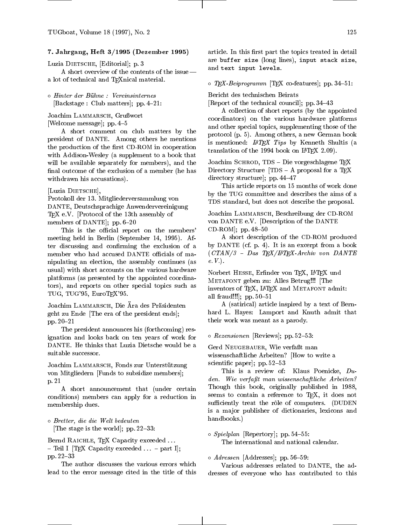### 7. Jahrgang, Heft 3/1995 (Dezember 1995)

Luzia DIETSCHE, [Editorial]; p. 3

A short overview of the contents of the issue $$ a lot of technical and TEXnical material.

 $\circ$  Hinter der Bunne : Vereinsinternes [Backstage : Club matters]; pp.  $4-21$ :

Joachim LAMMARSCH, Grußwort

[Welcome message]; pp.  $4-5$ 

A short comment on club matters by the president of DANTE. Among others he mentions the production of the first CD-ROM in cooperation with Addison-Wesley (a supplement to a book that will be available separately for members), and the final outcome of the exclusion of a member (he has withdrawn his accusations).

[Luzia DIETSCHE],

Protokoll der 13. Mitgliederversammlung von DANTE, Deutschsprachige Anwendervereinigung TEX e.V. [Protocol of the 13th assembly of members of DANTE]; pp.  $6-20$ 

This is the official report on the members' meeting held in Berlin (September 14, 1995). After discussing and conrming the exclusion of a member who had accused DANTE officials of manipulating an election, the assembly continues (as usual) with short accounts on the various hardware platforms (as presented by the appointed coordinators), and reports on other special topics such as TUG, TUG'95, EuroTEX'95.

Joachim LAMMARSCH, Die Ära des Präsidenten geht zu Ende [The era of the president ends]; pp.  $20 - 21$ 

The president announces his (forthcoming) resignation and looks back on ten years of work for DANTE. He thinks that Luzia Dietsche would be a suitable successor.

Joachim LAMMARSCH, Fonds zur Unterstützung von Mitgliedern [Funds to subsidize members]; p. 21

A short announcement that (under certain conditions) members can apply for a reduction in membership dues.

 Bretter, die die Welt bedeuten [The stage is the world]; pp.  $22-33$ :

Bernd RAICHLE, TEX Capacity exceeded ...  $-$  Teil I [TEX Capacity exceeded  $\ldots$  - part I]; pp.  $22{-}33$ 

The author discusses the various errors which lead to the error message cited in the title of this article. In this first part the topics treated in detail are buffer size (long lines), input stack size, and text input levels.

 $\circ$  *IEX-Beiprogramm* [IEX co-features]; pp. 34–51:

Bericht des technischen Beirats

[Report of the technical council]; pp.  $34-43$ 

A collection of short reports (by the appointed coordinators) on the various hardware platforms and other special topics, supplementing those of the protocol (p. 5). Among others, a new German book is mentioned:  $L^4T_F X$  Tips by Kenneth Shultis (a translation of the 1994 book on  $I\text{ATEX}$  2.09).

Joachim SCHROD, TDS – Die vorgeschlagene T<sub>E</sub>X Directory Structure  $[TDS - A$  proposal for a T<sub>E</sub>X directory structure]; pp.  $44-47$ 

This article reports on 15 months of work done by the TUG committee and describes the aims of a TDS standard, but does not describe the proposal.

Joachim Lammarsch, Beschreibung der CD-ROM von DANTE e.V. [Description of the DANTE CD-ROM]; pp.  $48-50$ 

A short description of the CD-ROM produced by DANTE (cf. p. 4). It is an excerpt from a book  $(CTAN/3 - Das TEX/IATEX-Archiv von DANTE$ e.V.).

Norbert HESSE, Erfinder von TEX, L<sup>AT</sup>EX und  $\ldots$   $\ldots$   $\ldots$   $\ldots$   $\ldots$   $\ldots$   $\ldots$   $\ldots$ inventors of T<sub>F</sub>X, IAT<sub>F</sub>X and METAFONT admit: all fraud!!!];  $pp. 50-51$ 

A (satirical) article inspired by a text of Bernhard L. Hayes: Lamport and Knuth admit that their work was meant as a parody.

 $\circ$  *Rezensionen* [Reviews]; pp. 52—53:

Gerd NEUGEBAUER, Wie verfaßt man wissenschaftliche Arbeiten? [How to write a scientific paper]; pp. 52–53

This is a review of: Klaus Poenicke, Duden. Wie verfaßt man wissenschaftliche Arbeiten? Though this book, originally published in 1988, seems to contain a reference to TFX, it does not sufficiently treat the rôle of computers. (DUDEN is a ma jor publisher of dictionaries, lexicons and handbooks.)

o *spielplan* [Repertory]; pp. 54—55: The international and national calendar.

o *Aaressen* [Addresses]; pp. 56–59:

Various addresses related to DANTE, the addresses of everyone who has contributed to this